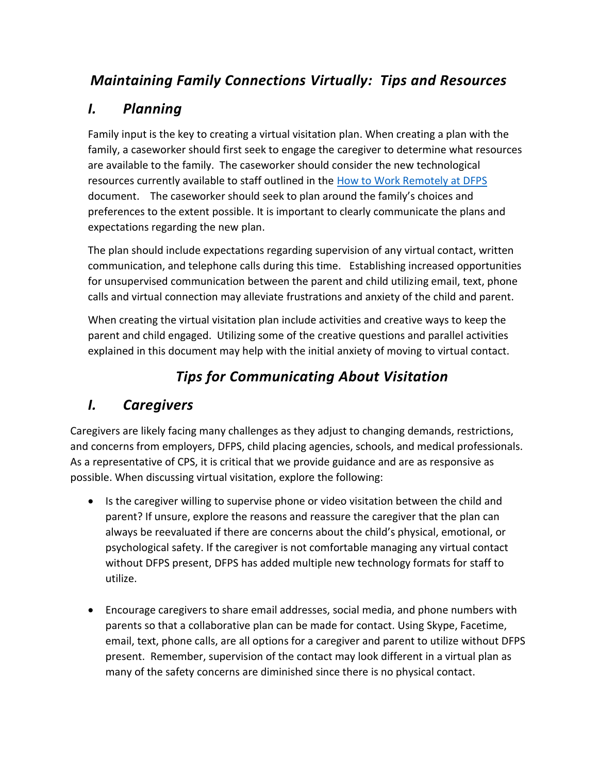# *Maintaining Family Connections Virtually: Tips and Resources*

# *I. Planning*

Family input is the key to creating a virtual visitation plan. When creating a plan with the family, a caseworker should first seek to engage the caregiver to determine what resources are available to the family. The caseworker should consider the new technological resources currently available to staff outlined in the [How to Work Remotely at DFPS](http://intranet.dfps.state.tx.us/Toolbox/Hardware/Computers/Tip_Sheets/work_remotely.pdf) document. The caseworker should seek to plan around the family's choices and preferences to the extent possible. It is important to clearly communicate the plans and expectations regarding the new plan.

The plan should include expectations regarding supervision of any virtual contact, written communication, and telephone calls during this time. Establishing increased opportunities for unsupervised communication between the parent and child utilizing email, text, phone calls and virtual connection may alleviate frustrations and anxiety of the child and parent.

When creating the virtual visitation plan include activities and creative ways to keep the parent and child engaged. Utilizing some of the creative questions and parallel activities explained in this document may help with the initial anxiety of moving to virtual contact.

# *Tips for Communicating About Visitation*

# *I. Caregivers*

Caregivers are likely facing many challenges as they adjust to changing demands, restrictions, and concerns from employers, DFPS, child placing agencies, schools, and medical professionals. As a representative of CPS, it is critical that we provide guidance and are as responsive as possible. When discussing virtual visitation, explore the following:

- Is the caregiver willing to supervise phone or video visitation between the child and parent? If unsure, explore the reasons and reassure the caregiver that the plan can always be reevaluated if there are concerns about the child's physical, emotional, or psychological safety. If the caregiver is not comfortable managing any virtual contact without DFPS present, DFPS has added multiple new technology formats for staff to utilize.
- Encourage caregivers to share email addresses, social media, and phone numbers with parents so that a collaborative plan can be made for contact. Using Skype, Facetime, email, text, phone calls, are all options for a caregiver and parent to utilize without DFPS present. Remember, supervision of the contact may look different in a virtual plan as many of the safety concerns are diminished since there is no physical contact.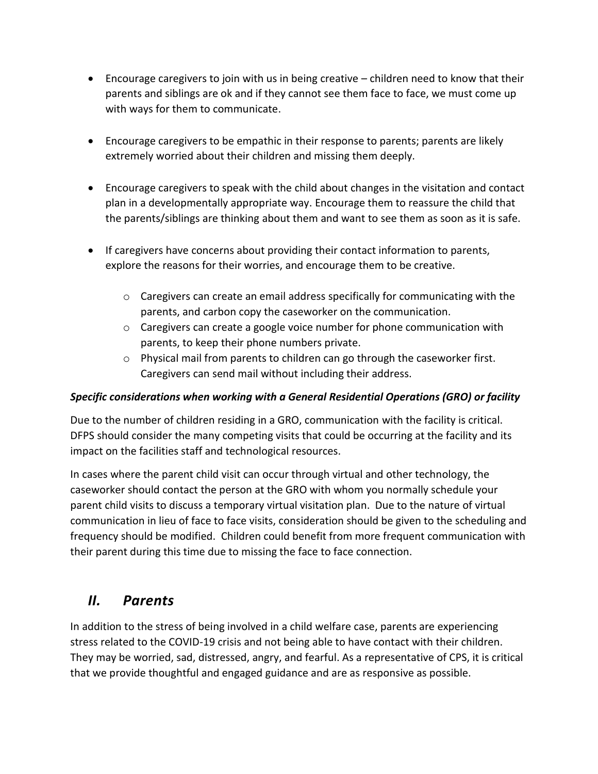- Encourage caregivers to join with us in being creative children need to know that their parents and siblings are ok and if they cannot see them face to face, we must come up with ways for them to communicate.
- Encourage caregivers to be empathic in their response to parents; parents are likely extremely worried about their children and missing them deeply.
- Encourage caregivers to speak with the child about changes in the visitation and contact plan in a developmentally appropriate way. Encourage them to reassure the child that the parents/siblings are thinking about them and want to see them as soon as it is safe.
- If caregivers have concerns about providing their contact information to parents, explore the reasons for their worries, and encourage them to be creative.
	- $\circ$  Caregivers can create an email address specifically for communicating with the parents, and carbon copy the caseworker on the communication.
	- o Caregivers can create a google voice number for phone communication with parents, to keep their phone numbers private.
	- $\circ$  Physical mail from parents to children can go through the caseworker first. Caregivers can send mail without including their address.

### *Specific considerations when working with a General Residential Operations (GRO) or facility*

Due to the number of children residing in a GRO, communication with the facility is critical. DFPS should consider the many competing visits that could be occurring at the facility and its impact on the facilities staff and technological resources.

In cases where the parent child visit can occur through virtual and other technology, the caseworker should contact the person at the GRO with whom you normally schedule your parent child visits to discuss a temporary virtual visitation plan. Due to the nature of virtual communication in lieu of face to face visits, consideration should be given to the scheduling and frequency should be modified. Children could benefit from more frequent communication with their parent during this time due to missing the face to face connection.

### *II. Parents*

In addition to the stress of being involved in a child welfare case, parents are experiencing stress related to the COVID-19 crisis and not being able to have contact with their children. They may be worried, sad, distressed, angry, and fearful. As a representative of CPS, it is critical that we provide thoughtful and engaged guidance and are as responsive as possible.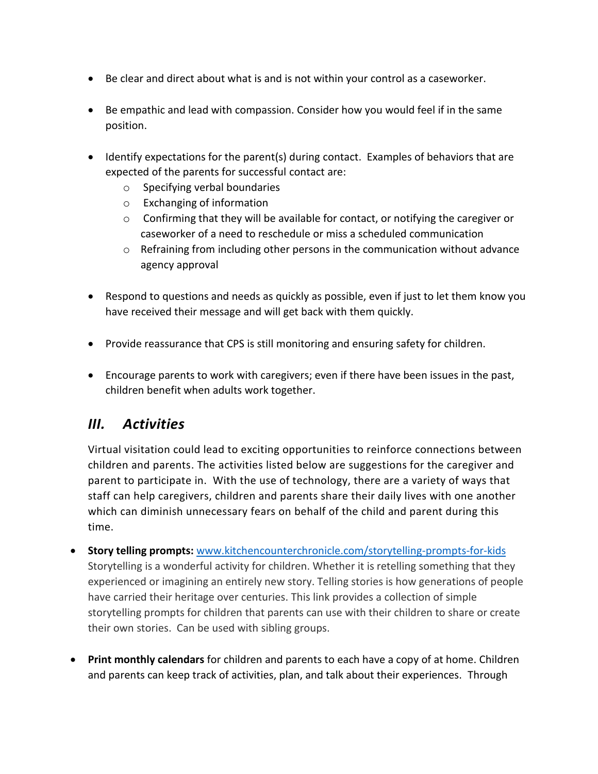- Be clear and direct about what is and is not within your control as a caseworker.
- Be empathic and lead with compassion. Consider how you would feel if in the same position.
- $\bullet$  Identify expectations for the parent(s) during contact. Examples of behaviors that are expected of the parents for successful contact are:
	- o Specifying verbal boundaries
	- o Exchanging of information
	- $\circ$  Confirming that they will be available for contact, or notifying the caregiver or caseworker of a need to reschedule or miss a scheduled communication
	- $\circ$  Refraining from including other persons in the communication without advance agency approval
- Respond to questions and needs as quickly as possible, even if just to let them know you have received their message and will get back with them quickly.
- Provide reassurance that CPS is still monitoring and ensuring safety for children.
- Encourage parents to work with caregivers; even if there have been issues in the past, children benefit when adults work together.

### *III. Activities*

Virtual visitation could lead to exciting opportunities to reinforce connections between children and parents. The activities listed below are suggestions for the caregiver and parent to participate in. With the use of technology, there are a variety of ways that staff can help caregivers, children and parents share their daily lives with one another which can diminish unnecessary fears on behalf of the child and parent during this time.

- **Story telling prompts:** [www.kitchencounterchronicle.com/storytelling-prompts-for-kids](https://www.kitchencounterchronicle.com/storytelling-prompts-for-kids) Storytelling is a wonderful activity for children. Whether it is retelling something that they experienced or imagining an entirely new story. Telling stories is how generations of people have carried their heritage over centuries. This link provides a collection of simple storytelling prompts for children that parents can use with their children to share or create their own stories. Can be used with sibling groups.
- **Print monthly calendars** for children and parents to each have a copy of at home. Children and parents can keep track of activities, plan, and talk about their experiences. Through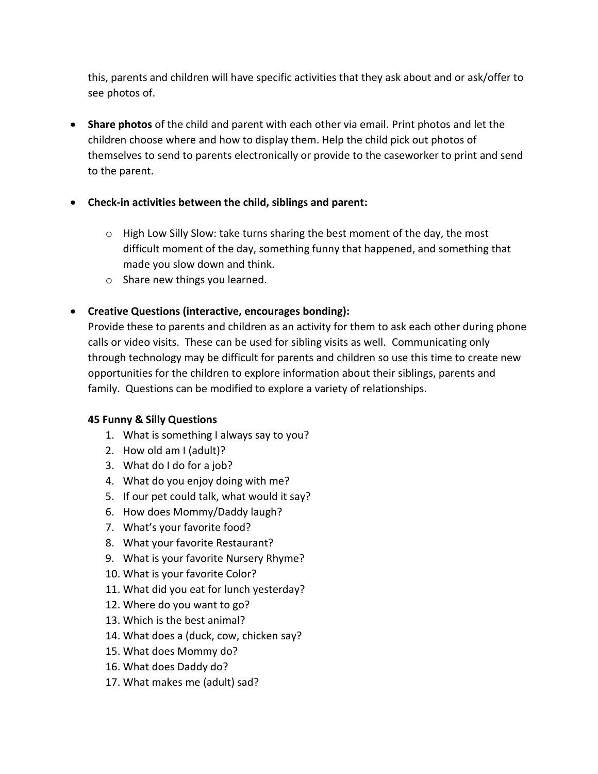this, parents and children will have specific activities that they ask about and or ask/offer to see photos of.

 **Share photos** of the child and parent with each other via email. Print photos and let the children choose where and how to display them. Help the child pick out photos of themselves to send to parents electronically or provide to the caseworker to print and send to the parent.

### **Check-in activities between the child, siblings and parent:**

- $\circ$  High Low Silly Slow: take turns sharing the best moment of the day, the most difficult moment of the day, something funny that happened, and something that made you slow down and think.
- o Share new things you learned.
- **Creative Questions (interactive, encourages bonding):**

Provide these to parents and children as an activity for them to ask each other during phone calls or video visits. These can be used for sibling visits as well. Communicating only through technology may be difficult for parents and children so use this time to create new opportunities for the children to explore information about their siblings, parents and family. Questions can be modified to explore a variety of relationships.

### **45 Funny & Silly Questions**

- 1. What is something I always say to you?
- 2. How old am I (adult)?
- 3. What do I do for a job?
- 4. What do you enjoy doing with me?
- 5. If our pet could talk, what would it say?
- 6. How does Mommy/Daddy laugh?
- 7. What's your favorite food?
- 8. What your favorite Restaurant?
- 9. What is your favorite Nursery Rhyme?
- 10. What is your favorite Color?
- 11. What did you eat for lunch yesterday?
- 12. Where do you want to go?
- 13. Which is the best animal?
- 14. What does a (duck, cow, chicken say?
- 15. What does Mommy do?
- 16. What does Daddy do?
- 17. What makes me (adult) sad?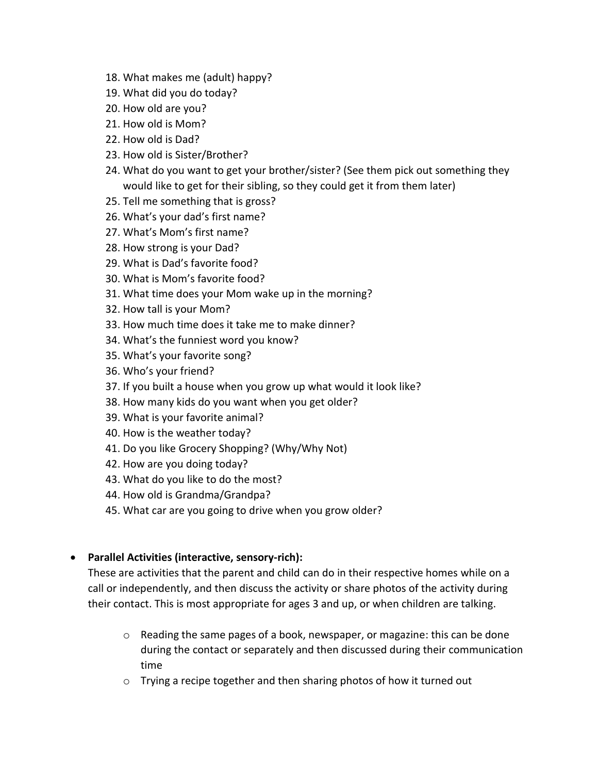- 18. What makes me (adult) happy?
- 19. What did you do today?
- 20. How old are you?
- 21. How old is Mom?
- 22. How old is Dad?
- 23. How old is Sister/Brother?
- 24. What do you want to get your brother/sister? (See them pick out something they would like to get for their sibling, so they could get it from them later)
- 25. Tell me something that is gross?
- 26. What's your dad's first name?
- 27. What's Mom's first name?
- 28. How strong is your Dad?
- 29. What is Dad's favorite food?
- 30. What is Mom's favorite food?
- 31. What time does your Mom wake up in the morning?
- 32. How tall is your Mom?
- 33. How much time does it take me to make dinner?
- 34. What's the funniest word you know?
- 35. What's your favorite song?
- 36. Who's your friend?
- 37. If you built a house when you grow up what would it look like?
- 38. How many kids do you want when you get older?
- 39. What is your favorite animal?
- 40. How is the weather today?
- 41. Do you like Grocery Shopping? (Why/Why Not)
- 42. How are you doing today?
- 43. What do you like to do the most?
- 44. How old is Grandma/Grandpa?
- 45. What car are you going to drive when you grow older?

### **Parallel Activities (interactive, sensory-rich):**

These are activities that the parent and child can do in their respective homes while on a call or independently, and then discuss the activity or share photos of the activity during their contact. This is most appropriate for ages 3 and up, or when children are talking.

- $\circ$  Reading the same pages of a book, newspaper, or magazine: this can be done during the contact or separately and then discussed during their communication time
- o Trying a recipe together and then sharing photos of how it turned out